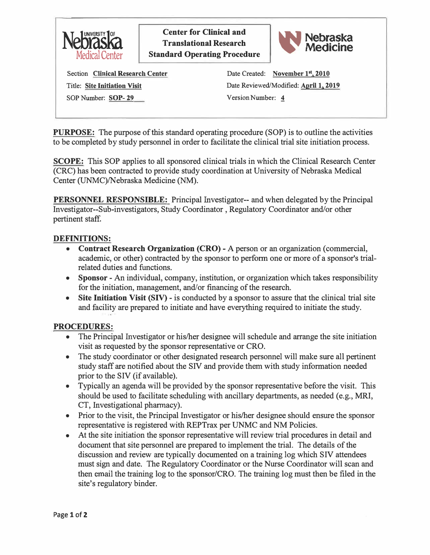

**Center for Clinical and Translational Research Standard Operating Procedure** 



Section **Clinical Research Center**  Title: **Site Initiation Visit**  SOP Number: **SOP- 29** Version Number: �

Date Created: November 1<sup>st</sup>, 2010 Date Reviewed/Modified: **April 1, 2019** 

**PURPOSE:** The purpose of this standard operating procedure (SOP) is to outline the activities to be completed by study personnel in order to facilitate the clinical trial site initiation process.

**SCOPE:** This SOP applies to all sponsored clinical trials in which the Clinical Research Center (CRC) has been contracted to provide study coordination at University of Nebraska Medical Center (UNMC)/Nebraska Medicine (NM).

**PERSONNEL RESPONSIBLE:** Principal fuvestigator-- and when delegated by the Principal Investigator--Sub-investigators, Study Coordinator , Regulatory Coordinator and/or other pertinent staff.

## **DEFINITIONS:**

- **Contract Research Organization (CRO)** A person or an organization (commercial, academic, or other) contracted by the sponsor to perform one or more of a sponsor's trialrelated duties and functions.
- **Sponsor**  An individual, company, institution, or organization which takes responsibility for the initiation, management, and/or financing of the research.
- Site Initiation Visit (SIV) is conducted by a sponsor to assure that the clinical trial site and facility are prepared to initiate and have everything required to initiate the study.

# **PROCEDURES:**

- The Principal Investigator or his/her designee will schedule and arrange the site initiation visit as requested by the sponsor representative or CRO.
- The study coordinator or other designated research personnel will make sure all pertinent study staff are notified about the SIV and provide them with study information needed prior to the SIV (if available).
- Typically an agenda will be provided by the sponsor representative before the visit. This should be used to facilitate scheduling with ancillary departments, as needed (e.g., MRI, CT, Investigational pharmacy).
- Prior to the visit, the Principal Investigator or his/her designee should ensure the sponsor representative is registered with REPTrax per UNMC and NM Policies.
- At the site initiation the sponsor representative will review trial procedures in detail and document that site personnel are prepared to implement the trial. The details of the discussion and review are typically documented on a training log which SIV attendees must sign and date. The Regulatory Coordinator or the Nurse Coordinator will scan and then email the training log to the sponsor/CRO. The training log must then be filed in the site's regulatory binder.